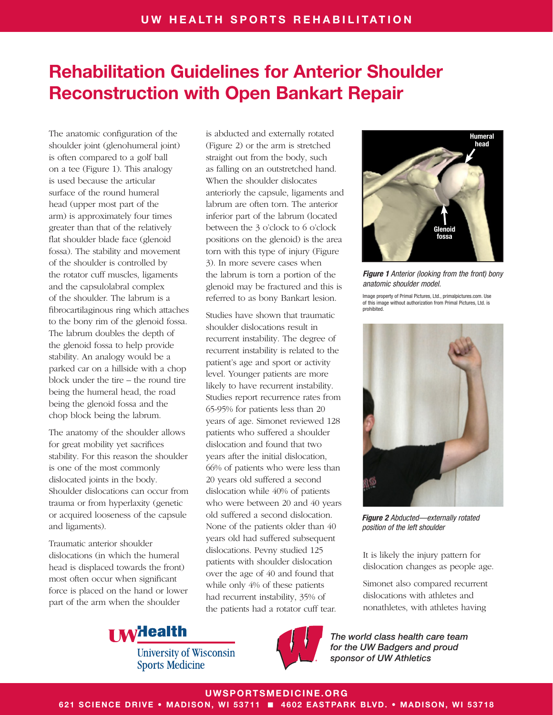The anatomic configuration of the shoulder joint (glenohumeral joint) is often compared to a golf ball on a tee (Figure 1). This analogy is used because the articular surface of the round humeral head (upper most part of the arm) is approximately four times greater than that of the relatively flat shoulder blade face (glenoid fossa). The stability and movement of the shoulder is controlled by the rotator cuff muscles, ligaments and the capsulolabral complex of the shoulder. The labrum is a fibrocartilaginous ring which attaches to the bony rim of the glenoid fossa. The labrum doubles the depth of the glenoid fossa to help provide stability. An analogy would be a parked car on a hillside with a chop block under the tire – the round tire being the humeral head, the road being the glenoid fossa and the chop block being the labrum.

The anatomy of the shoulder allows for great mobility yet sacrifices stability. For this reason the shoulder is one of the most commonly dislocated joints in the body. Shoulder dislocations can occur from trauma or from hyperlaxity (genetic or acquired looseness of the capsule and ligaments).

Traumatic anterior shoulder dislocations (in which the humeral head is displaced towards the front) most often occur when significant force is placed on the hand or lower part of the arm when the shoulder

is abducted and externally rotated (Figure 2) or the arm is stretched straight out from the body, such as falling on an outstretched hand. When the shoulder dislocates anteriorly the capsule, ligaments and labrum are often torn. The anterior inferior part of the labrum (located between the 3 o'clock to 6 o'clock positions on the glenoid) is the area torn with this type of injury (Figure 3). In more severe cases when the labrum is torn a portion of the glenoid may be fractured and this is referred to as bony Bankart lesion.

Studies have shown that traumatic shoulder dislocations result in recurrent instability. The degree of recurrent instability is related to the patient's age and sport or activity level. Younger patients are more likely to have recurrent instability. Studies report recurrence rates from 65-95% for patients less than 20 years of age. Simonet reviewed 128 patients who suffered a shoulder dislocation and found that two years after the initial dislocation, 66% of patients who were less than 20 years old suffered a second dislocation while 40% of patients who were between 20 and 40 years old suffered a second dislocation. None of the patients older than 40 years old had suffered subsequent dislocations. Pevny studied 125 patients with shoulder dislocation over the age of 40 and found that while only 4% of these patients had recurrent instability, 35% of the patients had a rotator cuff tear.



*Figure 1 Anterior (looking from the front) bony anatomic shoulder model.*

Image property of Primal Pictures, Ltd., primalpictures.com. Use of this image without authorization from Primal Pictures, Ltd. is prohibited.



*Figure 2 Abducted—externally rotated position of the left shoulder*

It is likely the injury pattern for dislocation changes as people age.

Simonet also compared recurrent dislocations with athletes and nonathletes, with athletes having

*The world class health care team for the UW Badgers and proud sponsor of UW Athletics*



**University of Wisconsin Sports Medicine** 



UWSPORTSMEDICINE.ORG

621 SCIENCE DRIVE • MADISON, WI 53711 ■ 4602 EASTPARK BLVD. • MADISON, WI 53718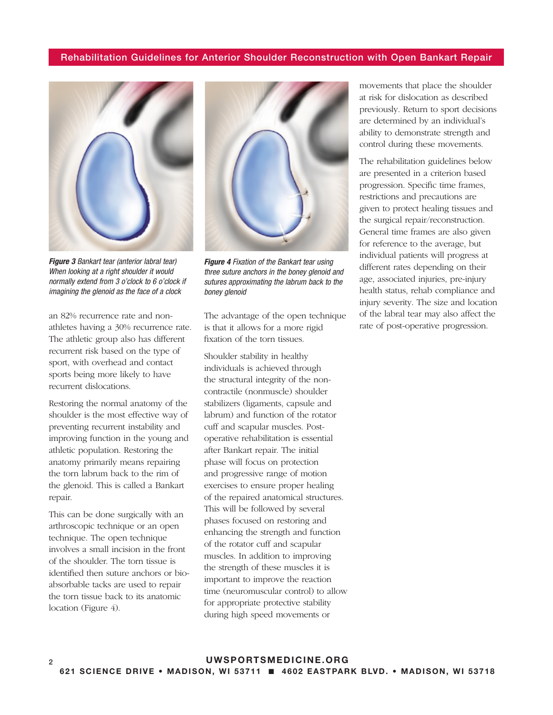

*Figure 3 Bankart tear (anterior labral tear) When looking at a right shoulder it would normally extend from 3 o'clock to 6 o'clock if imagining the glenoid as the face of a clock*

an 82% recurrence rate and nonathletes having a 30% recurrence rate. The athletic group also has different recurrent risk based on the type of sport, with overhead and contact sports being more likely to have recurrent dislocations.

Restoring the normal anatomy of the shoulder is the most effective way of preventing recurrent instability and improving function in the young and athletic population. Restoring the anatomy primarily means repairing the torn labrum back to the rim of the glenoid. This is called a Bankart repair.

This can be done surgically with an arthroscopic technique or an open technique. The open technique involves a small incision in the front of the shoulder. The torn tissue is identified then suture anchors or bioabsorbable tacks are used to repair the torn tissue back to its anatomic location (Figure 4).



*Figure 4 Fixation of the Bankart tear using three suture anchors in the boney glenoid and sutures approximating the labrum back to the boney glenoid*

The advantage of the open technique is that it allows for a more rigid fixation of the torn tissues.

Shoulder stability in healthy individuals is achieved through the structural integrity of the noncontractile (nonmuscle) shoulder stabilizers (ligaments, capsule and labrum) and function of the rotator cuff and scapular muscles. Postoperative rehabilitation is essential after Bankart repair. The initial phase will focus on protection and progressive range of motion exercises to ensure proper healing of the repaired anatomical structures. This will be followed by several phases focused on restoring and enhancing the strength and function of the rotator cuff and scapular muscles. In addition to improving the strength of these muscles it is important to improve the reaction time (neuromuscular control) to allow for appropriate protective stability during high speed movements or

movements that place the shoulder at risk for dislocation as described previously. Return to sport decisions are determined by an individual's ability to demonstrate strength and control during these movements.

The rehabilitation guidelines below are presented in a criterion based progression. Specific time frames, restrictions and precautions are given to protect healing tissues and the surgical repair/reconstruction. General time frames are also given for reference to the average, but individual patients will progress at different rates depending on their age, associated injuries, pre-injury health status, rehab compliance and injury severity. The size and location of the labral tear may also affect the rate of post-operative progression.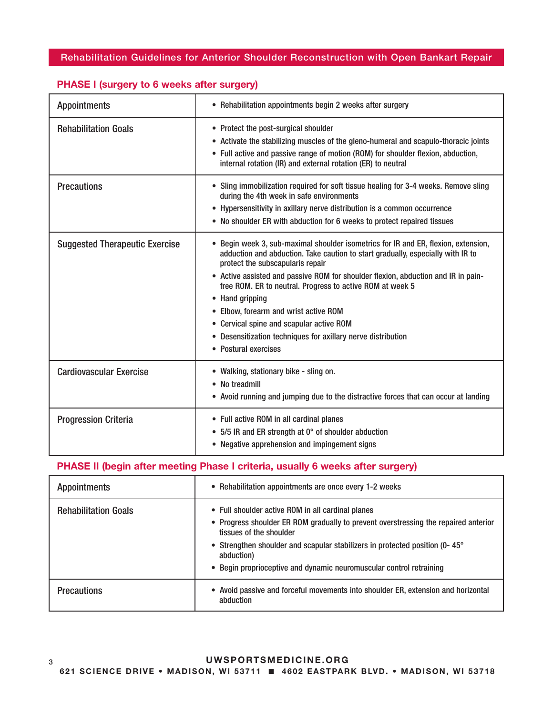| <b>Appointments</b>                   | • Rehabilitation appointments begin 2 weeks after surgery                                                                                                                                                                                                                                                                                                                                                                                                                                                                                                   |
|---------------------------------------|-------------------------------------------------------------------------------------------------------------------------------------------------------------------------------------------------------------------------------------------------------------------------------------------------------------------------------------------------------------------------------------------------------------------------------------------------------------------------------------------------------------------------------------------------------------|
| <b>Rehabilitation Goals</b>           | • Protect the post-surgical shoulder<br>• Activate the stabilizing muscles of the gleno-humeral and scapulo-thoracic joints<br>• Full active and passive range of motion (ROM) for shoulder flexion, abduction,<br>internal rotation (IR) and external rotation (ER) to neutral                                                                                                                                                                                                                                                                             |
| <b>Precautions</b>                    | • Sling immobilization required for soft tissue healing for 3-4 weeks. Remove sling<br>during the 4th week in safe environments<br>• Hypersensitivity in axillary nerve distribution is a common occurrence<br>• No shoulder ER with abduction for 6 weeks to protect repaired tissues                                                                                                                                                                                                                                                                      |
| <b>Suggested Therapeutic Exercise</b> | • Begin week 3, sub-maximal shoulder isometrics for IR and ER, flexion, extension,<br>adduction and abduction. Take caution to start gradually, especially with IR to<br>protect the subscapularis repair<br>• Active assisted and passive ROM for shoulder flexion, abduction and IR in pain-<br>free ROM. ER to neutral. Progress to active ROM at week 5<br>• Hand gripping<br>• Elbow, forearm and wrist active ROM<br>• Cervical spine and scapular active ROM<br>• Desensitization techniques for axillary nerve distribution<br>• Postural exercises |
| <b>Cardiovascular Exercise</b>        | • Walking, stationary bike - sling on.<br>• No treadmill<br>• Avoid running and jumping due to the distractive forces that can occur at landing                                                                                                                                                                                                                                                                                                                                                                                                             |
| <b>Progression Criteria</b>           | • Full active ROM in all cardinal planes<br>• 5/5 IR and ER strength at 0° of shoulder abduction<br>• Negative apprehension and impingement signs                                                                                                                                                                                                                                                                                                                                                                                                           |

# PHASE I (surgery to 6 weeks after surgery)

# PHASE II (begin after meeting Phase I criteria, usually 6 weeks after surgery)

| <b>Appointments</b>         | • Rehabilitation appointments are once every 1-2 weeks                                                                                                                                                                                                                                                                                  |
|-----------------------------|-----------------------------------------------------------------------------------------------------------------------------------------------------------------------------------------------------------------------------------------------------------------------------------------------------------------------------------------|
| <b>Rehabilitation Goals</b> | • Full shoulder active ROM in all cardinal planes<br>• Progress shoulder ER ROM gradually to prevent overstressing the repaired anterior<br>tissues of the shoulder<br>• Strengthen shoulder and scapular stabilizers in protected position (0-45°<br>abduction)<br>• Begin proprioceptive and dynamic neuromuscular control retraining |
| <b>Precautions</b>          | • Avoid passive and forceful movements into shoulder ER, extension and horizontal<br>abduction                                                                                                                                                                                                                                          |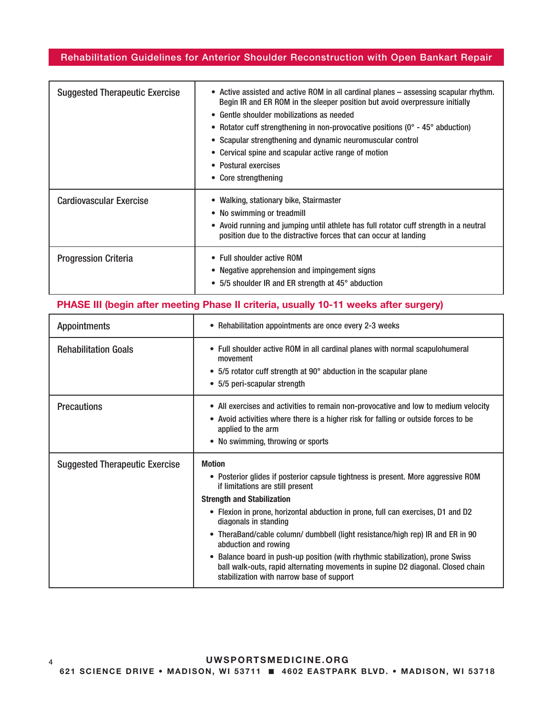| <b>Suggested Therapeutic Exercise</b> | • Active assisted and active ROM in all cardinal planes – assessing scapular rhythm.<br>Begin IR and ER ROM in the sleeper position but avoid overpressure initially<br>• Gentle shoulder mobilizations as needed<br>• Rotator cuff strengthening in non-provocative positions ( $0^\circ$ - 45 $^\circ$ abduction)<br>• Scapular strengthening and dynamic neuromuscular control<br>• Cervical spine and scapular active range of motion<br>• Postural exercises<br>• Core strengthening |
|---------------------------------------|-------------------------------------------------------------------------------------------------------------------------------------------------------------------------------------------------------------------------------------------------------------------------------------------------------------------------------------------------------------------------------------------------------------------------------------------------------------------------------------------|
| <b>Cardiovascular Exercise</b>        | • Walking, stationary bike, Stairmaster<br>• No swimming or treadmill<br>• Avoid running and jumping until athlete has full rotator cuff strength in a neutral<br>position due to the distractive forces that can occur at landing                                                                                                                                                                                                                                                        |
| <b>Progression Criteria</b>           | • Full shoulder active ROM<br>• Negative apprehension and impingement signs<br>• 5/5 shoulder IR and ER strength at 45° abduction                                                                                                                                                                                                                                                                                                                                                         |

# PHASE III (begin after meeting Phase II criteria, usually 10-11 weeks after surgery)

| <b>Appointments</b>                   | • Rehabilitation appointments are once every 2-3 weeks                                                                                                                                                                                                                                                                                                                                                                                                                                                                                                                                                             |
|---------------------------------------|--------------------------------------------------------------------------------------------------------------------------------------------------------------------------------------------------------------------------------------------------------------------------------------------------------------------------------------------------------------------------------------------------------------------------------------------------------------------------------------------------------------------------------------------------------------------------------------------------------------------|
| <b>Rehabilitation Goals</b>           | • Full shoulder active ROM in all cardinal planes with normal scapulohumeral<br>movement<br>• 5/5 rotator cuff strength at 90° abduction in the scapular plane<br>• 5/5 peri-scapular strength                                                                                                                                                                                                                                                                                                                                                                                                                     |
| <b>Precautions</b>                    | • All exercises and activities to remain non-provocative and low to medium velocity<br>• Avoid activities where there is a higher risk for falling or outside forces to be<br>applied to the arm<br>• No swimming, throwing or sports                                                                                                                                                                                                                                                                                                                                                                              |
| <b>Suggested Therapeutic Exercise</b> | <b>Motion</b><br>• Posterior glides if posterior capsule tightness is present. More aggressive ROM<br>if limitations are still present<br><b>Strength and Stabilization</b><br>• Flexion in prone, horizontal abduction in prone, full can exercises, D1 and D2<br>diagonals in standing<br>• TheraBand/cable column/ dumbbell (light resistance/high rep) IR and ER in 90<br>abduction and rowing<br>Balance board in push-up position (with rhythmic stabilization), prone Swiss<br>ball walk-outs, rapid alternating movements in supine D2 diagonal. Closed chain<br>stabilization with narrow base of support |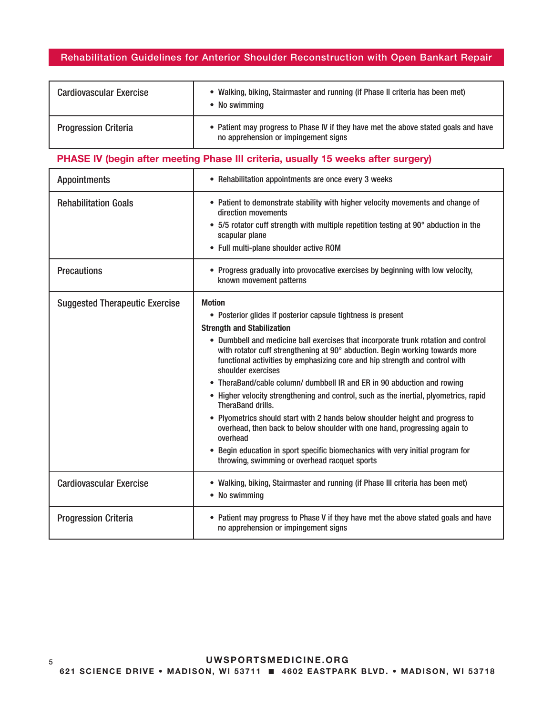| <b>Cardiovascular Exercise</b> | • Walking, biking, Stairmaster and running (if Phase II criteria has been met)<br>No swimming                               |
|--------------------------------|-----------------------------------------------------------------------------------------------------------------------------|
| <b>Progression Criteria</b>    | • Patient may progress to Phase IV if they have met the above stated goals and have<br>no apprehension or impingement signs |

# PHASE IV (begin after meeting Phase III criteria, usually 15 weeks after surgery)

| <b>Appointments</b>                   | • Rehabilitation appointments are once every 3 weeks                                                                                                                                                                                                                                                                                                                                                                                                                                                                                                                                                                                                                                                                                                                                                                                                                                                         |
|---------------------------------------|--------------------------------------------------------------------------------------------------------------------------------------------------------------------------------------------------------------------------------------------------------------------------------------------------------------------------------------------------------------------------------------------------------------------------------------------------------------------------------------------------------------------------------------------------------------------------------------------------------------------------------------------------------------------------------------------------------------------------------------------------------------------------------------------------------------------------------------------------------------------------------------------------------------|
| <b>Rehabilitation Goals</b>           | • Patient to demonstrate stability with higher velocity movements and change of<br>direction movements<br>5/5 rotator cuff strength with multiple repetition testing at 90° abduction in the<br>scapular plane<br>• Full multi-plane shoulder active ROM                                                                                                                                                                                                                                                                                                                                                                                                                                                                                                                                                                                                                                                     |
| <b>Precautions</b>                    | • Progress gradually into provocative exercises by beginning with low velocity,<br>known movement patterns                                                                                                                                                                                                                                                                                                                                                                                                                                                                                                                                                                                                                                                                                                                                                                                                   |
| <b>Suggested Therapeutic Exercise</b> | <b>Motion</b><br>• Posterior glides if posterior capsule tightness is present<br><b>Strength and Stabilization</b><br>• Dumbbell and medicine ball exercises that incorporate trunk rotation and control<br>with rotator cuff strengthening at 90° abduction. Begin working towards more<br>functional activities by emphasizing core and hip strength and control with<br>shoulder exercises<br>TheraBand/cable column/ dumbbell IR and ER in 90 abduction and rowing<br>• Higher velocity strengthening and control, such as the inertial, plyometrics, rapid<br>TheraBand drills.<br>• Plyometrics should start with 2 hands below shoulder height and progress to<br>overhead, then back to below shoulder with one hand, progressing again to<br>overhead<br>Begin education in sport specific biomechanics with very initial program for<br>$\bullet$<br>throwing, swimming or overhead racquet sports |
| <b>Cardiovascular Exercise</b>        | • Walking, biking, Stairmaster and running (if Phase III criteria has been met)<br>• No swimming                                                                                                                                                                                                                                                                                                                                                                                                                                                                                                                                                                                                                                                                                                                                                                                                             |
| <b>Progression Criteria</b>           | • Patient may progress to Phase V if they have met the above stated goals and have<br>no apprehension or impingement signs                                                                                                                                                                                                                                                                                                                                                                                                                                                                                                                                                                                                                                                                                                                                                                                   |